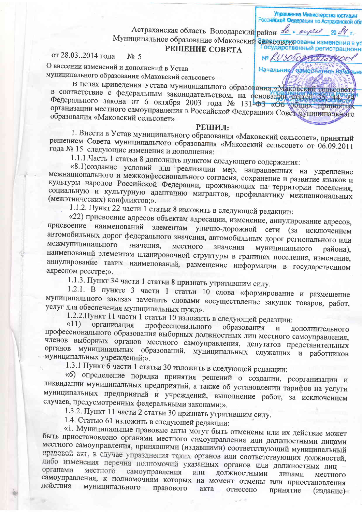Астраханская область Володарский район de . eyeel 20 14 г. Муниципальное образование «Маковский сельсовер рованы изменения в ус

## **PEIIIEHUE COBETA**

Управление Министерства юстиции Российской Федерации по Астраханской обл

Государственный регистрационн

Nº LU30502017074001

Начальник ваместитель дач

## от 28.03..2014 года  $No<sub>5</sub>$

О внесении изменений и дополнений в Устав муниципального образования «Маковский сельсовет»

в целях приведения устава муниципального образования «Маковский сельсовет» в соответствие с федеральным законодательством, на основании статки объявления Федерального закона от 6 октября 2003 года № 131-ФЗ «Об общих принципах организации местного самоуправления в Российской Федерации» Совет муниципального образования «Маковский сельсовет»

## РЕШИЛ:

1. Внести в Устав муниципального образования «Маковский сельсовет», принятый решением Совета муниципального образования «Маковский сельсовет» от 06.09.2011 года № 15 следующие изменения и дополнения:

1.1.1. Часть 1 статьи 8 дополнить пунктом следующего содержания:

«8.1)создание условий для реализации мер, направленных на укрепление межнационального и межконфессионального согласия, сохранение и развитие языков и культуры народов Российской Федерации, проживающих на территории поселения, социальную и культурную адаптацию мигрантов, профилактику межнациональных (межэтнических) конфликтов;».

1.1.2. Пункт 22 части 1 статьи 8 изложить в следующей редакции:

«22) присвоение адресов объектам адресации, изменение, аннулирование адресов, присвоение наименований элементам улично-дорожной сети (за исключением автомобильных дорог федерального значения, автомобильных дорог регионального или межмуниципального значения, местного значения муниципального района), наименований элементам планировочной структуры в границах поселения, изменение, аннулирование таких наименований, размещение информации в государственном адресном реестре;».

1.1.3. Пункт 34 части 1 статьи 8 признать утратившим силу.

1.2.1. В пункте 3 части 1 статьи 10 слова «формирование и размещение муниципального заказа» заменить словами «осуществление закупок товаров, работ, услуг для обеспечения муниципальных нужд».

1.2.2. Пункт 11 части 1 статьи 10 изложить в следующей редакции:

 $\langle \langle 11 \rangle$ организация профессионального образования  $\mathbf{M}$ дополнительного профессионального образования выборных должностных лиц местного самоуправления, членов выборных органов местного самоуправления, депутатов представительных органов муниципальных образований, муниципальных служащих и работников муниципальных учреждений;».

1.3.1 Пункт 6 части 1 статьи 30 изложить в следующей редакции:

«6) определение порядка принятия решений о создании, реорганизации и ликвидации муниципальных предприятий, а также об установлении тарифов на услуги муниципальных предприятий и учреждений, выполнение работ, за исключением случаев, предусмотренных федеральными законами;».

1.3.2. Пункт 11 части 2 статьи 30 признать утратившим силу.

1.4. Статью 61 изложить в следующей редакции:

«1. Муниципальные правовые акты могут быть отменены или их действие может быть приостановлено органами местного самоуправления или должностными лицами местного самоуправления, принявшими (издавшими) соответствующий муниципальный правовой акт, в случае упразднения таких органов или соответствующих должностей, либо изменения перечня полномочий указанных органов или должностных лиц органами местного самоуправления или должностными лицами местного самоуправления, к полномочиям которых на момент отмены или приостановления действия муниципального правового акта отнесено принятие (издание)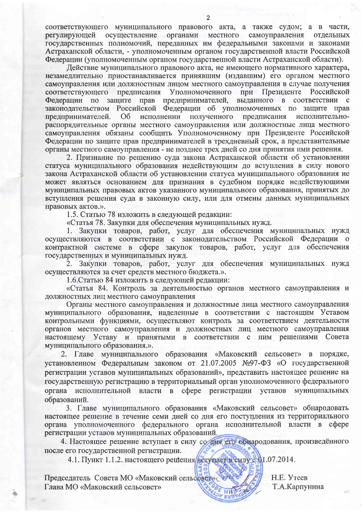соответствующего муниципального правового акта, а также судом; а в части, осуществление органами местного самоуправления регулирующей отдельных государственных полномочий, переданных им федеральными законами и законами Астраханской области, - уполномоченным органом государственной власти Российской Федерации (уполномоченным органом государственной власти Астраханской области).

Действие муниципального правового акта, не имеющего нормативного характера, незамедлительно приостанавливается принявшим (издавшим) его органом местного самоуправления или должностным лицом местного самоуправления в случае получения соответствующего предписания Уполномоченного при Президенте Российской Федерации по защите прав предпринимателей, выданного в соответствии с законодательством Российской Федерации об уполномоченных по защите прав предпринимателей. O<sub>6</sub> исполнении полученного предписания исполнительнораспорядительные органы местного самоуправления или должностные лица местного самоуправления обязаны сообщить Уполномоченному при Президенте Российской Федерации по защите прав предпринимателей в трехдневный срок, а представительные органы местного самоуправления - не позднее трех дней со дня принятия ими решения.

2. Признание по решению суда закона Астраханской области об установлении статуса муниципального образования недействующим до вступления в силу нового закона Астраханской области об установлении статуса муниципального образования не может являться основанием для признания в судебном порядке недействующими муниципальных правовых актов указанного муниципального образования, принятых до вступления решения суда в законную силу, или для отмены данных муниципальных правовых актов.».

1.5. Статью 78 изложить в следующей редакции:

«Статья 78. Закупки для обеспечения муниципальных нужд.

1. Закупки товаров, работ, услуг для обеспечения муниципальных нужд осуществляются в соответствии с законодательством Российской Федерации о контрактной системе в сфере закупок товаров, работ, услуг для обеспечения государственных и муниципальных нужд.

Закупки товаров, работ, услуг для обеспечения муниципальных нужд  $2.$ осуществляются за счет средств местного бюджета.».

1.6. Статью 84 изложить в следующей редакции:

«Статья 84. Контроль за деятельностью органов местного самоуправления и должностных лиц местного самоуправления

Органы местного самоуправления и должностные лица местного самоуправления муниципального образования, наделенные в соответствии с настоящим Уставом контрольными функциями, осуществляют контроль за соответствием деятельности органов местного самоуправления и должностных лиц местного самоуправления настоящему Уставу и принятыми в соответствии с ним решениями Совета муниципального образования.».

Главе муниципального образования «Маковский сельсовет» в порядке,  $2.$ установленном Федеральным законом от 21.07.2005 №97-ФЗ «О государственной регистрации уставов муниципальных образований», представить настоящее решение на государственную регистрацию в территориальный орган уполномоченного федерального органа исполнительной власти в сфере регистрации уставов муниципальных образований.

3. Главе муниципального образования «Маковский сельсовет» обнародовать настоящее решение в течение семи дней со дня его поступления из территориального органа уполномоченного федерального органа исполнительной власти в сфере регистрации уставов муниципальных образований.

4. Настоящее решение вступает в силу со дня его обнародования, произведённого после его государственной регистрации.

4.1. Пункт 1.1.2. настоящего решения вслучает в силу с 01.07.2014.

Председатель Совета МО «Маковский сельсовет» Глава МО «Маковский сельсовет»

H.E. Утеев Т.А.Карпунина